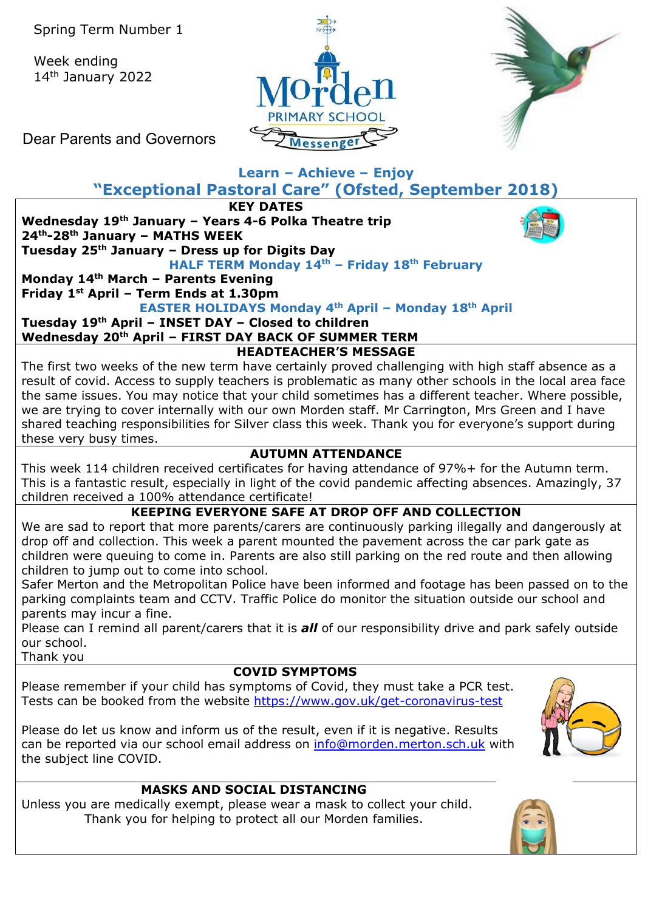Week ending 14th January 2022





Dear Parents and Governors

## **Learn – Achieve – Enjoy**

**"Exceptional Pastoral Care" (Ofsted, September 2018)**

**KEY DATES**

**Wednesday 19th January – Years 4-6 Polka Theatre trip 24th-28th January – MATHS WEEK Tuesday 25th January – Dress up for Digits Day**



**HALF TERM Monday 14th – Friday 18th February Monday 14th March – Parents Evening Friday 1st April – Term Ends at 1.30pm** 

**EASTER HOLIDAYS Monday 4th April – Monday 18th April**

**Tuesday 19th April – INSET DAY – Closed to children Wednesday 20th April – FIRST DAY BACK OF SUMMER TERM**

## **HEADTEACHER'S MESSAGE**

The first two weeks of the new term have certainly proved challenging with high staff absence as a result of covid. Access to supply teachers is problematic as many other schools in the local area face the same issues. You may notice that your child sometimes has a different teacher. Where possible, we are trying to cover internally with our own Morden staff. Mr Carrington, Mrs Green and I have shared teaching responsibilities for Silver class this week. Thank you for everyone's support during these very busy times.

## **AUTUMN ATTENDANCE**

This week 114 children received certificates for having attendance of 97%+ for the Autumn term. This is a fantastic result, especially in light of the covid pandemic affecting absences. Amazingly, 37 children received a 100% attendance certificate!

**KEEPING EVERYONE SAFE AT DROP OFF AND COLLECTION**

We are sad to report that more parents/carers are continuously parking illegally and dangerously at drop off and collection. This week a parent mounted the pavement across the car park gate as children were queuing to come in. Parents are also still parking on the red route and then allowing children to jump out to come into school.

Safer Merton and the Metropolitan Police have been informed and footage has been passed on to the parking complaints team and CCTV. Traffic Police do monitor the situation outside our school and parents may incur a fine.

Please can I remind all parent/carers that it is *all* of our responsibility drive and park safely outside our school.

Thank you

## **COVID SYMPTOMS**

Please remember if your child has symptoms of Covid, they must take a PCR test. Tests can be booked from the website<https://www.gov.uk/get-coronavirus-test>

Please do let us know and inform us of the result, even if it is negative. Results can be reported via our school email address on [info@morden.merton.sch.uk](mailto:info@morden.merton.sch.uk) with the subject line COVID.



## **MASKS AND SOCIAL DISTANCING**

Unless you are medically exempt, please wear a mask to collect your child. Thank you for helping to protect all our Morden families.

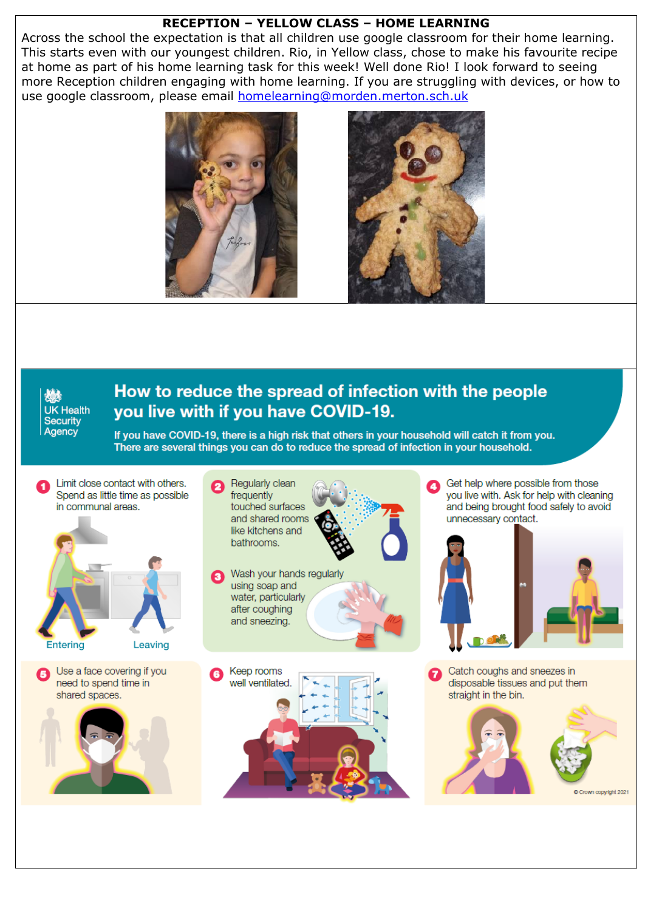### **RECEPTION – YELLOW CLASS – HOME LEARNING**

Across the school the expectation is that all children use google classroom for their home learning. This starts even with our youngest children. Rio, in Yellow class, chose to make his favourite recipe at home as part of his home learning task for this week! Well done Rio! I look forward to seeing more Reception children engaging with home learning. If you are struggling with devices, or how to use google classroom, please email [homelearning@morden.merton.sch.uk](mailto:homelearning@morden.merton.sch.uk)





UK Health **Security** Agency

# How to reduce the spread of infection with the people vou live with if you have COVID-19.

If you have COVID-19, there is a high risk that others in your household will catch it from you. There are several things you can do to reduce the spread of infection in your household.

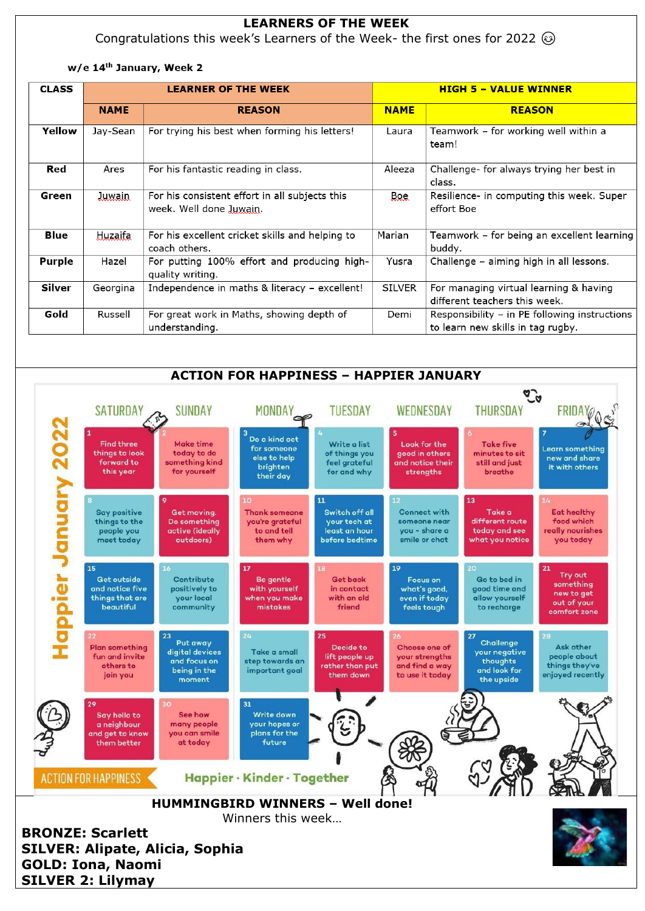### **LEARNERS OF THE WEEK**

Congratulations this week's Learners of the Week- the first ones for 2022  $\circledcirc$ 

#### w/e 14th January, Week 2

| <b>CLASS</b>  |               | <b>LEARNER OF THE WEEK</b>                                                |               | <b>HIGH 5 - VALUE WINNER</b>                                                       |
|---------------|---------------|---------------------------------------------------------------------------|---------------|------------------------------------------------------------------------------------|
|               | <b>NAME</b>   | <b>REASON</b>                                                             | <b>NAME</b>   | <b>REASON</b>                                                                      |
| Yellow        | Jay-Sean      | For trying his best when forming his letters!                             | Laura         | Teamwork - for working well within a<br>team!                                      |
| Red           | Ares          | For his fantastic reading in class.                                       | Aleeza        | Challenge- for always trying her best in<br>class.                                 |
| Green         | <b>Juwain</b> | For his consistent effort in all subjects this<br>week. Well done Juwain. | Boe           | Resilience- in computing this week. Super<br>effort Boe                            |
| Blue          | Huzaifa       | For his excellent cricket skills and helping to<br>coach others.          | Marian        | Teamwork - for being an excellent learning<br>buddy.                               |
| <b>Purple</b> | Hazel         | For putting 100% effort and producing high-<br>quality writing.           | Yusra         | Challenge - aiming high in all lessons.                                            |
| Silver        | Georgina      | Independence in maths & literacy - excellent!                             | <b>SILVER</b> | For managing virtual learning & having<br>different teachers this week.            |
| Gold          | Russell       | For great work in Maths, showing depth of<br>understanding.               | Demi          | Responsibility - in PE following instructions<br>to learn new skills in tag rugby. |